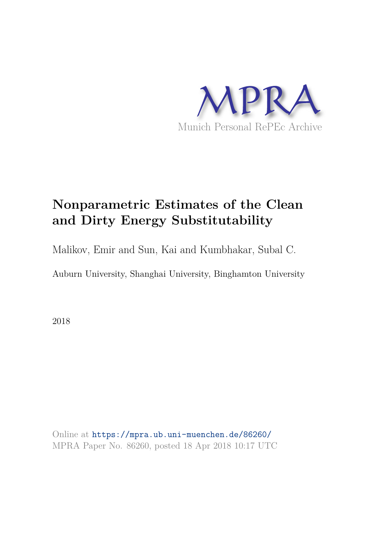

# **Nonparametric Estimates of the Clean and Dirty Energy Substitutability**

Malikov, Emir and Sun, Kai and Kumbhakar, Subal C.

Auburn University, Shanghai University, Binghamton University

2018

Online at https://mpra.ub.uni-muenchen.de/86260/ MPRA Paper No. 86260, posted 18 Apr 2018 10:17 UTC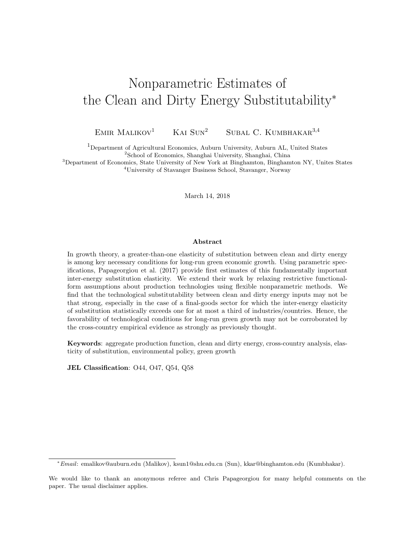## Nonparametric Estimates of the Clean and Dirty Energy Substitutability<sup>∗</sup>

EMIR MALIKOV<sup>1</sup> KAI SUN<sup>2</sup> SUBAL C. KUMBHAKAR<sup>3,4</sup>

<sup>1</sup>Department of Agricultural Economics, Auburn University, Auburn AL, United States <sup>2</sup>School of Economics, Shanghai University, Shanghai, China

<sup>3</sup>Department of Economics, State University of New York at Binghamton, Binghamton NY, Unites States <sup>4</sup>University of Stavanger Business School, Stavanger, Norway

March 14, 2018

#### Abstract

In growth theory, a greater-than-one elasticity of substitution between clean and dirty energy is among key necessary conditions for long-run green economic growth. Using parametric specifications, Papageorgiou et al. (2017) provide first estimates of this fundamentally important inter-energy substitution elasticity. We extend their work by relaxing restrictive functionalform assumptions about production technologies using flexible nonparametric methods. We find that the technological substitutability between clean and dirty energy inputs may not be that strong, especially in the case of a final-goods sector for which the inter-energy elasticity of substitution statistically exceeds one for at most a third of industries/countries. Hence, the favorability of technological conditions for long-run green growth may not be corroborated by the cross-country empirical evidence as strongly as previously thought.

Keywords: aggregate production function, clean and dirty energy, cross-country analysis, elasticity of substitution, environmental policy, green growth

JEL Classification: O44, O47, Q54, Q58

<sup>∗</sup>Email: emalikov@auburn.edu (Malikov), ksun1@shu.edu.cn (Sun), kkar@binghamton.edu (Kumbhakar).

We would like to thank an anonymous referee and Chris Papageorgiou for many helpful comments on the paper. The usual disclaimer applies.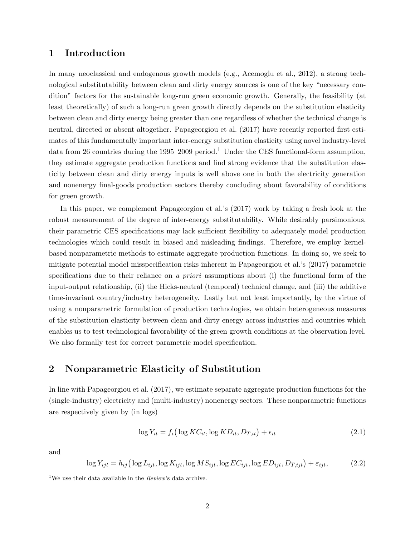## 1 Introduction

In many neoclassical and endogenous growth models (e.g., Acemoglu et al., 2012), a strong technological substitutability between clean and dirty energy sources is one of the key "necessary condition" factors for the sustainable long-run green economic growth. Generally, the feasibility (at least theoretically) of such a long-run green growth directly depends on the substitution elasticity between clean and dirty energy being greater than one regardless of whether the technical change is neutral, directed or absent altogether. Papageorgiou et al. (2017) have recently reported first estimates of this fundamentally important inter-energy substitution elasticity using novel industry-level data from 26 countries during the 1995–2009 period.<sup>1</sup> Under the CES functional-form assumption, they estimate aggregate production functions and find strong evidence that the substitution elasticity between clean and dirty energy inputs is well above one in both the electricity generation and nonenergy final-goods production sectors thereby concluding about favorability of conditions for green growth.

In this paper, we complement Papageorgiou et al.'s (2017) work by taking a fresh look at the robust measurement of the degree of inter-energy substitutability. While desirably parsimonious, their parametric CES specifications may lack sufficient flexibility to adequately model production technologies which could result in biased and misleading findings. Therefore, we employ kernelbased nonparametric methods to estimate aggregate production functions. In doing so, we seek to mitigate potential model misspecification risks inherent in Papageorgiou et al.'s (2017) parametric specifications due to their reliance on a priori assumptions about (i) the functional form of the input-output relationship, (ii) the Hicks-neutral (temporal) technical change, and (iii) the additive time-invariant country/industry heterogeneity. Lastly but not least importantly, by the virtue of using a nonparametric formulation of production technologies, we obtain heterogeneous measures of the substitution elasticity between clean and dirty energy across industries and countries which enables us to test technological favorability of the green growth conditions at the observation level. We also formally test for correct parametric model specification.

### 2 Nonparametric Elasticity of Substitution

In line with Papageorgiou et al. (2017), we estimate separate aggregate production functions for the (single-industry) electricity and (multi-industry) nonenergy sectors. These nonparametric functions are respectively given by (in logs)

$$
\log Y_{it} = f_i \left( \log KC_{it}, \log KD_{it}, D_{T,it} \right) + \epsilon_{it} \tag{2.1}
$$

and

$$
\log Y_{ijt} = h_{ij} \left( \log L_{ijt}, \log K_{ijt}, \log MS_{ijt}, \log EC_{ijt}, \log ED_{ijt}, D_{T,ijt} \right) + \varepsilon_{ijt},\tag{2.2}
$$

<sup>&</sup>lt;sup>1</sup>We use their data available in the *Review*'s data archive.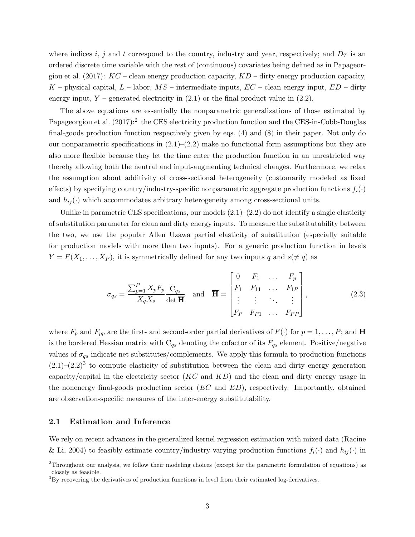where indices i, j and t correspond to the country, industry and year, respectively; and  $D_T$  is an ordered discrete time variable with the rest of (continuous) covariates being defined as in Papageorgiou et al. (2017):  $KC$  – clean energy production capacity,  $KD$  – dirty energy production capacity,  $K$  – physical capital,  $L$  – labor,  $MS$  – intermediate inputs,  $EC$  – clean energy input,  $ED$  – dirty energy input,  $Y$  – generated electricity in (2.1) or the final product value in (2.2).

The above equations are essentially the nonparametric generalizations of those estimated by Papageorgiou et al.  $(2017)$ <sup>2</sup> the CES electricity production function and the CES-in-Cobb-Douglas final-goods production function respectively given by eqs. (4) and (8) in their paper. Not only do our nonparametric specifications in  $(2.1)$ – $(2.2)$  make no functional form assumptions but they are also more flexible because they let the time enter the production function in an unrestricted way thereby allowing both the neutral and input-augmenting technical changes. Furthermore, we relax the assumption about additivity of cross-sectional heterogeneity (customarily modeled as fixed effects) by specifying country/industry-specific nonparametric aggregate production functions  $f_i(\cdot)$ and  $h_{ij}(\cdot)$  which accommodates arbitrary heterogeneity among cross-sectional units.

Unlike in parametric CES specifications, our models  $(2.1)$ – $(2.2)$  do not identify a single elasticity of substitution parameter for clean and dirty energy inputs. To measure the substitutability between the two, we use the popular Allen–Uzawa partial elasticity of substitution (especially suitable for production models with more than two inputs). For a generic production function in levels  $Y = F(X_1, \ldots, X_P)$ , it is symmetrically defined for any two inputs q and  $s(\neq q)$  as

$$
\sigma_{qs} = \frac{\sum_{p=1}^{P} X_p F_p}{X_q X_s} \frac{C_{qs}}{\det \overline{H}} \quad \text{and} \quad \overline{H} = \begin{bmatrix} 0 & F_1 & \dots & F_p \\ F_1 & F_{11} & \dots & F_{1P} \\ \vdots & \vdots & \ddots & \vdots \\ F_P & F_{P1} & \dots & F_{PP} \end{bmatrix},
$$
(2.3)

where  $F_p$  and  $F_{pp}$  are the first- and second-order partial derivatives of  $F(\cdot)$  for  $p = 1, \ldots, P$ ; and  $\overline{H}$ is the bordered Hessian matrix with  $C_{qs}$  denoting the cofactor of its  $F_{qs}$  element. Positive/negative values of  $\sigma_{qs}$  indicate net substitutes/complements. We apply this formula to production functions  $(2.1)$ – $(2.2)$ <sup>3</sup> to compute elasticity of substitution between the clean and dirty energy generation capacity/capital in the electricity sector  $(KC \text{ and } KD)$  and the clean and dirty energy usage in the nonenergy final-goods production sector  $(EC \text{ and } ED)$ , respectively. Importantly, obtained are observation-specific measures of the inter-energy substitutability.

#### 2.1 Estimation and Inference

We rely on recent advances in the generalized kernel regression estimation with mixed data (Racine & Li, 2004) to feasibly estimate country/industry-varying production functions  $f_i(\cdot)$  and  $h_{ij}(\cdot)$  in

 $\overline{a^2}$ Throughout our analysis, we follow their modeling choices (except for the parametric formulation of equations) as closely as feasible.

 ${}^{3}$ By recovering the derivatives of production functions in level from their estimated log-derivatives.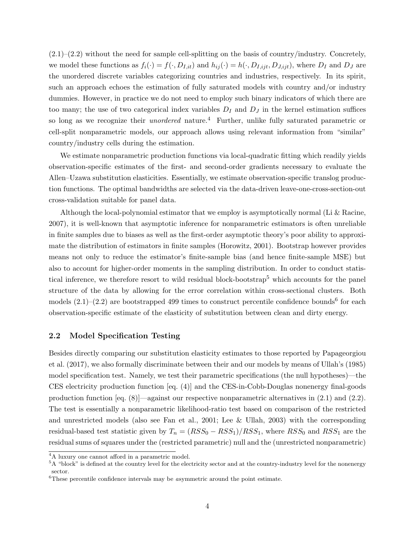$(2.1)$ – $(2.2)$  without the need for sample cell-splitting on the basis of country/industry. Concretely, we model these functions as  $f_i(\cdot) = f(\cdot, D_{I, it})$  and  $h_{ij}(\cdot) = h(\cdot, D_{I, ijt}, D_{J, ijt})$ , where  $D_I$  and  $D_J$  are the unordered discrete variables categorizing countries and industries, respectively. In its spirit, such an approach echoes the estimation of fully saturated models with country and/or industry dummies. However, in practice we do not need to employ such binary indicators of which there are too many; the use of two categorical index variables  $D_I$  and  $D_J$  in the kernel estimation suffices so long as we recognize their *unordered* nature.<sup>4</sup> Further, unlike fully saturated parametric or cell-split nonparametric models, our approach allows using relevant information from "similar" country/industry cells during the estimation.

We estimate nonparametric production functions via local-quadratic fitting which readily yields observation-specific estimates of the first- and second-order gradients necessary to evaluate the Allen–Uzawa substitution elasticities. Essentially, we estimate observation-specific translog production functions. The optimal bandwidths are selected via the data-driven leave-one-cross-section-out cross-validation suitable for panel data.

Although the local-polynomial estimator that we employ is asymptotically normal (Li & Racine, 2007), it is well-known that asymptotic inference for nonparametric estimators is often unreliable in finite samples due to biases as well as the first-order asymptotic theory's poor ability to approximate the distribution of estimators in finite samples (Horowitz, 2001). Bootstrap however provides means not only to reduce the estimator's finite-sample bias (and hence finite-sample MSE) but also to account for higher-order moments in the sampling distribution. In order to conduct statistical inference, we therefore resort to wild residual block-bootstrap<sup>5</sup> which accounts for the panel structure of the data by allowing for the error correlation within cross-sectional clusters. Both models  $(2.1)$ – $(2.2)$  are bootstrapped 499 times to construct percentile confidence bounds<sup>6</sup> for each observation-specific estimate of the elasticity of substitution between clean and dirty energy.

#### 2.2 Model Specification Testing

Besides directly comparing our substitution elasticity estimates to those reported by Papageorgiou et al. (2017), we also formally discriminate between their and our models by means of Ullah's (1985) model specification test. Namely, we test their parametric specifications (the null hypotheses)—the CES electricity production function [eq. (4)] and the CES-in-Cobb-Douglas nonenergy final-goods production function [eq. (8)]—against our respective nonparametric alternatives in (2.1) and (2.2). The test is essentially a nonparametric likelihood-ratio test based on comparison of the restricted and unrestricted models (also see Fan et al., 2001; Lee & Ullah, 2003) with the corresponding residual-based test statistic given by  $T_n = (RSS_0 - RSS_1)/RSS_1$ , where  $RSS_0$  and  $RSS_1$  are the residual sums of squares under the (restricted parametric) null and the (unrestricted nonparametric)

<sup>4</sup>A luxury one cannot afford in a parametric model.

<sup>&</sup>lt;sup>5</sup>A "block" is defined at the country level for the electricity sector and at the country-industry level for the nonenergy sector.

 ${}^{6}$ These percentile confidence intervals may be asymmetric around the point estimate.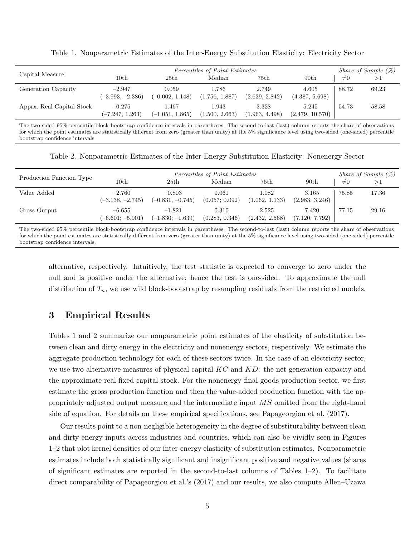| Capital Measure           | Percentiles of Point Estimates |                            |                         |                         |                          | <i>Share of Sample</i> $(\%)$ |       |
|---------------------------|--------------------------------|----------------------------|-------------------------|-------------------------|--------------------------|-------------------------------|-------|
|                           | $_{\rm 10th}$                  | 25th                       | Median                  | 75th                    | 90 <sub>th</sub>         | $\neq 0$                      | >1    |
| Generation Capacity       | $-2.947$<br>$(-3.993, -2.386)$ | 0.059<br>$(-0.002, 1.148)$ | 1.786<br>(1.756, 1.887) | 2.749<br>(2.639, 2.842) | 4.605<br>(4.387, 5.698)  | 88.72                         | 69.23 |
| Apprx. Real Capital Stock | $-0.275$<br>$(-7.247, 1.263)$  | 1.467<br>$(-1.051, 1.865)$ | 1.943<br>(1.500, 2.663) | 3.328<br>(1.963, 4.498) | 5.245<br>(2.479, 10.570) | 54.73                         | 58.58 |

Table 1. Nonparametric Estimates of the Inter-Energy Substitution Elasticity: Electricity Sector

The two-sided 95% percentile block-bootstrap confidence intervals in parentheses. The second-to-last (last) column reports the share of observations for which the point estimates are statistically different from zero (greater than unity) at the 5% significance level using two-sided (one-sided) percentile bootstrap confidence intervals.

Table 2. Nonparametric Estimates of the Inter-Energy Substitution Elasticity: Nonenergy Sector

| Production Function Type | Percentiles of Point Estimates |                                |                         |                         |                         |          | <i>Share of Sample</i> $(\%)$ |
|--------------------------|--------------------------------|--------------------------------|-------------------------|-------------------------|-------------------------|----------|-------------------------------|
|                          | 10th                           | 25th                           | Median                  | 75th                    | 90 <sub>th</sub>        | $\neq 0$ |                               |
| Value Added              | $-2.760$<br>$(-3.138, -2.745)$ | $-0.803$<br>$(-0.831, -0.745)$ | 0.061<br>(0.057; 0.092) | 1.082<br>(1.062, 1.133) | 3.165<br>(2.983, 3.246) | 75.85    | 17.36                         |
| Gross Output             | $-6.655$<br>$(-6.601; -5.901)$ | $-1.821$<br>$(-1.830; -1.639)$ | 0.310<br>(0.283, 0.346) | 2.525<br>(2.432, 2.568) | 7.420<br>(7.120, 7.792) | 77.15    | 29.16                         |

The two-sided 95% percentile block-bootstrap confidence intervals in parentheses. The second-to-last (last) column reports the share of observations for which the point estimates are statistically different from zero (greater than unity) at the 5% significance level using two-sided (one-sided) percentile bootstrap confidence intervals.

alternative, respectively. Intuitively, the test statistic is expected to converge to zero under the null and is positive under the alternative; hence the test is one-sided. To approximate the null distribution of  $T_n$ , we use wild block-bootstrap by resampling residuals from the restricted models.

## 3 Empirical Results

Tables 1 and 2 summarize our nonparametric point estimates of the elasticity of substitution between clean and dirty energy in the electricity and nonenergy sectors, respectively. We estimate the aggregate production technology for each of these sectors twice. In the case of an electricity sector, we use two alternative measures of physical capital  $KC$  and  $KD$ : the net generation capacity and the approximate real fixed capital stock. For the nonenergy final-goods production sector, we first estimate the gross production function and then the value-added production function with the appropriately adjusted output measure and the intermediate input MS omitted from the right-hand side of equation. For details on these empirical specifications, see Papageorgiou et al. (2017).

Our results point to a non-negligible heterogeneity in the degree of substitutability between clean and dirty energy inputs across industries and countries, which can also be vividly seen in Figures 1–2 that plot kernel densities of our inter-energy elasticity of substitution estimates. Nonparametric estimates include both statistically significant and insignificant positive and negative values (shares of significant estimates are reported in the second-to-last columns of Tables 1–2). To facilitate direct comparability of Papageorgiou et al.'s (2017) and our results, we also compute Allen–Uzawa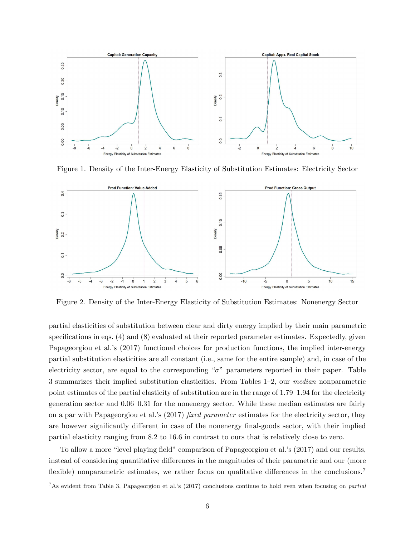

Figure 1. Density of the Inter-Energy Elasticity of Substitution Estimates: Electricity Sector



Figure 2. Density of the Inter-Energy Elasticity of Substitution Estimates: Nonenergy Sector

partial elasticities of substitution between clear and dirty energy implied by their main parametric specifications in eqs. (4) and (8) evaluated at their reported parameter estimates. Expectedly, given Papageorgiou et al.'s (2017) functional choices for production functions, the implied inter-energy partial substitution elasticities are all constant (i.e., same for the entire sample) and, in case of the electricity sector, are equal to the corresponding "σ" parameters reported in their paper. Table 3 summarizes their implied substitution elasticities. From Tables 1–2, our median nonparametric point estimates of the partial elasticity of substitution are in the range of 1.79–1.94 for the electricity generation sector and 0.06–0.31 for the nonenergy sector. While these median estimates are fairly on a par with Papageorgiou et al.'s (2017) fixed parameter estimates for the electricity sector, they are however significantly different in case of the nonenergy final-goods sector, with their implied partial elasticity ranging from 8.2 to 16.6 in contrast to ours that is relatively close to zero.

To allow a more "level playing field" comparison of Papageorgiou et al.'s (2017) and our results, instead of considering quantitative differences in the magnitudes of their parametric and our (more flexible) nonparametric estimates, we rather focus on qualitative differences in the conclusions.<sup>7</sup>

<sup>&</sup>lt;sup>7</sup>As evident from Table 3, Papageorgiou et al.'s (2017) conclusions continue to hold even when focusing on *partial*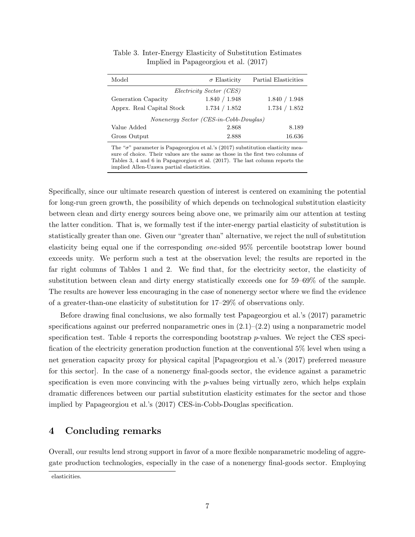| Model                                  | $\sigma$ Elasticity             | Partial Elasticities |
|----------------------------------------|---------------------------------|----------------------|
|                                        | <i>Electricity Sector (CES)</i> |                      |
| Generation Capacity                    | 1.840 / 1.948                   | 1.840 / 1.948        |
| Apprx. Real Capital Stock              | 1.734 / 1.852                   | 1.734 / 1.852        |
| Nonenergy Sector (CES-in-Cobb-Douglas) |                                 |                      |
| Value Added                            | 2.868                           | 8.189                |
| Gross Output                           | 2.888                           | 16.636               |

Table 3. Inter-Energy Elasticity of Substitution Estimates Implied in Papageorgiou et al. (2017)

The " $\sigma$ " parameter is Papageorgiou et al.'s (2017) substitution elasticity measure of choice. Their values are the same as those in the first two columns of Tables 3, 4 and 6 in Papageorgiou et al. (2017). The last column reports the implied Allen-Uzawa partial elasticities.

Specifically, since our ultimate research question of interest is centered on examining the potential for long-run green growth, the possibility of which depends on technological substitution elasticity between clean and dirty energy sources being above one, we primarily aim our attention at testing the latter condition. That is, we formally test if the inter-energy partial elasticity of substitution is statistically greater than one. Given our "greater than" alternative, we reject the null of substitution elasticity being equal one if the corresponding one-sided 95% percentile bootstrap lower bound exceeds unity. We perform such a test at the observation level; the results are reported in the far right columns of Tables 1 and 2. We find that, for the electricity sector, the elasticity of substitution between clean and dirty energy statistically exceeds one for 59–69% of the sample. The results are however less encouraging in the case of nonenergy sector where we find the evidence of a greater-than-one elasticity of substitution for 17–29% of observations only.

Before drawing final conclusions, we also formally test Papageorgiou et al.'s (2017) parametric specifications against our preferred nonparametric ones in  $(2.1)$ – $(2.2)$  using a nonparametric model specification test. Table 4 reports the corresponding bootstrap  $p$ -values. We reject the CES specification of the electricity generation production function at the conventional 5% level when using a net generation capacity proxy for physical capital [Papageorgiou et al.'s (2017) preferred measure for this sector]. In the case of a nonenergy final-goods sector, the evidence against a parametric specification is even more convincing with the  $p$ -values being virtually zero, which helps explain dramatic differences between our partial substitution elasticity estimates for the sector and those implied by Papageorgiou et al.'s (2017) CES-in-Cobb-Douglas specification.

## 4 Concluding remarks

Overall, our results lend strong support in favor of a more flexible nonparametric modeling of aggregate production technologies, especially in the case of a nonenergy final-goods sector. Employing

elasticities.